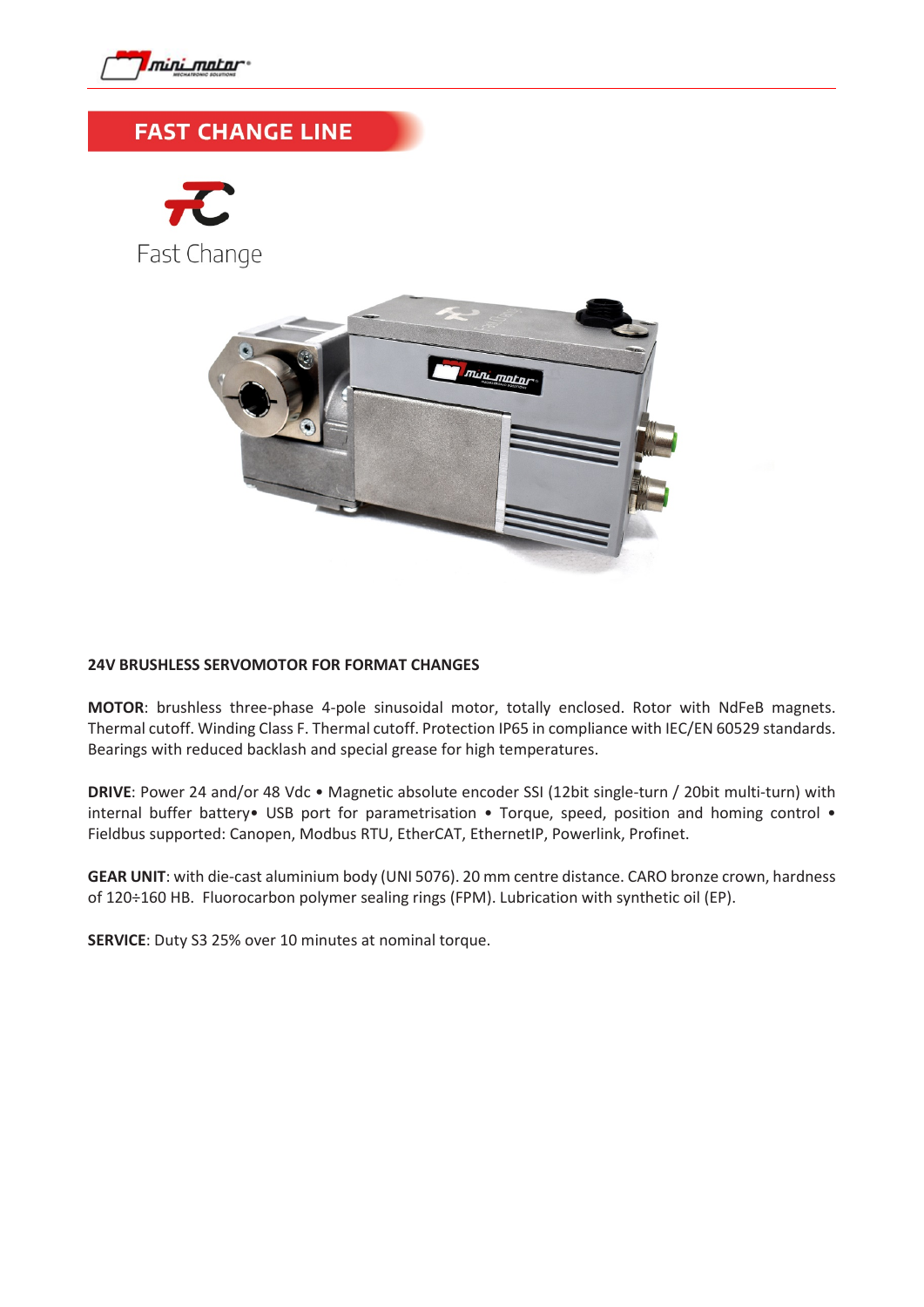

## **FAST CHANGE LINE**





## **24V BRUSHLESS SERVOMOTOR FOR FORMAT CHANGES**

**MOTOR**: brushless three-phase 4-pole sinusoidal motor, totally enclosed. Rotor with NdFeB magnets. Thermal cutoff. Winding Class F. Thermal cutoff. Protection IP65 in compliance with IEC/EN 60529 standards. Bearings with reduced backlash and special grease for high temperatures.

**DRIVE**: Power 24 and/or 48 Vdc • Magnetic absolute encoder SSI (12bit single-turn / 20bit multi-turn) with internal buffer battery• USB port for parametrisation • Torque, speed, position and homing control • Fieldbus supported: Canopen, Modbus RTU, EtherCAT, EthernetIP, Powerlink, Profinet.

**GEAR UNIT**: with die-cast aluminium body (UNI 5076). 20 mm centre distance. CARO bronze crown, hardness of 120÷160 HB. Fluorocarbon polymer sealing rings (FPM). Lubrication with synthetic oil (EP).

**SERVICE**: Duty S3 25% over 10 minutes at nominal torque.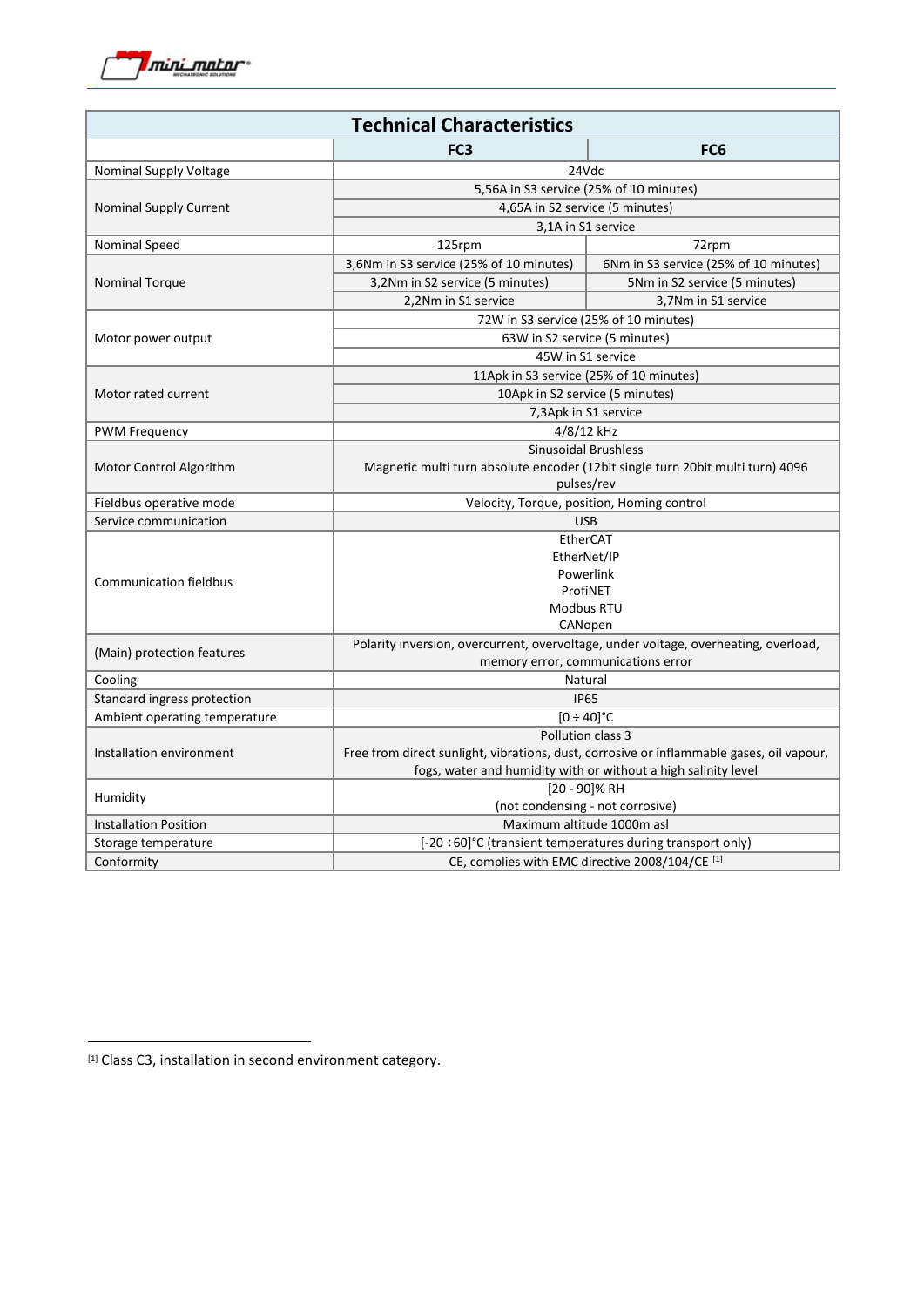

| <b>Technical Characteristics</b>       |                                                                                                                           |                                       |
|----------------------------------------|---------------------------------------------------------------------------------------------------------------------------|---------------------------------------|
|                                        | FC <sub>3</sub>                                                                                                           | FC <sub>6</sub>                       |
| Nominal Supply Voltage                 | 24Vdc                                                                                                                     |                                       |
| <b>Nominal Supply Current</b>          | 5,56A in S3 service (25% of 10 minutes)                                                                                   |                                       |
|                                        | 4,65A in S2 service (5 minutes)                                                                                           |                                       |
|                                        | 3,1A in S1 service                                                                                                        |                                       |
| Nominal Speed                          | 125rpm                                                                                                                    | 72rpm                                 |
| <b>Nominal Torque</b>                  | 3,6Nm in S3 service (25% of 10 minutes)                                                                                   | 6Nm in S3 service (25% of 10 minutes) |
|                                        | 3,2Nm in S2 service (5 minutes)                                                                                           | 5Nm in S2 service (5 minutes)         |
|                                        | 2,2Nm in S1 service                                                                                                       | 3,7Nm in S1 service                   |
| Motor power output                     | 72W in S3 service (25% of 10 minutes)                                                                                     |                                       |
|                                        | 63W in S2 service (5 minutes)                                                                                             |                                       |
|                                        | 45W in S1 service                                                                                                         |                                       |
| Motor rated current                    | 11Apk in S3 service (25% of 10 minutes)                                                                                   |                                       |
|                                        | 10Apk in S2 service (5 minutes)                                                                                           |                                       |
|                                        | 7,3Apk in S1 service                                                                                                      |                                       |
| <b>PWM Frequency</b>                   | 4/8/12 kHz                                                                                                                |                                       |
| Motor Control Algorithm                | <b>Sinusoidal Brushless</b>                                                                                               |                                       |
|                                        | Magnetic multi turn absolute encoder (12bit single turn 20bit multi turn) 4096                                            |                                       |
|                                        | pulses/rev                                                                                                                |                                       |
| Fieldbus operative mode                | Velocity, Torque, position, Homing control                                                                                |                                       |
| Service communication                  | <b>USB</b>                                                                                                                |                                       |
| <b>Communication fieldbus</b>          | EtherCAT                                                                                                                  |                                       |
|                                        | EtherNet/IP                                                                                                               |                                       |
|                                        | Powerlink                                                                                                                 |                                       |
|                                        | ProfiNET                                                                                                                  |                                       |
|                                        | Modbus RTU                                                                                                                |                                       |
|                                        | CANopen                                                                                                                   |                                       |
| (Main) protection features             | Polarity inversion, overcurrent, overvoltage, under voltage, overheating, overload,<br>memory error, communications error |                                       |
|                                        | Natural                                                                                                                   |                                       |
| Cooling<br>Standard ingress protection | <b>IP65</b>                                                                                                               |                                       |
| Ambient operating temperature          | $[0 \div 40]$ °C                                                                                                          |                                       |
| Installation environment               | Pollution class 3                                                                                                         |                                       |
|                                        | Free from direct sunlight, vibrations, dust, corrosive or inflammable gases, oil vapour,                                  |                                       |
|                                        | fogs, water and humidity with or without a high salinity level                                                            |                                       |
| Humidity                               | [20 - 90]% RH                                                                                                             |                                       |
|                                        | (not condensing - not corrosive)                                                                                          |                                       |
| <b>Installation Position</b>           | Maximum altitude 1000m asl                                                                                                |                                       |
| Storage temperature                    | [-20 ÷60]°C (transient temperatures during transport only)                                                                |                                       |
| Conformity                             | CE, complies with EMC directive 2008/104/CE [1]                                                                           |                                       |

<span id="page-1-0"></span><sup>[1]</sup> Class C3, installation in second environment category.